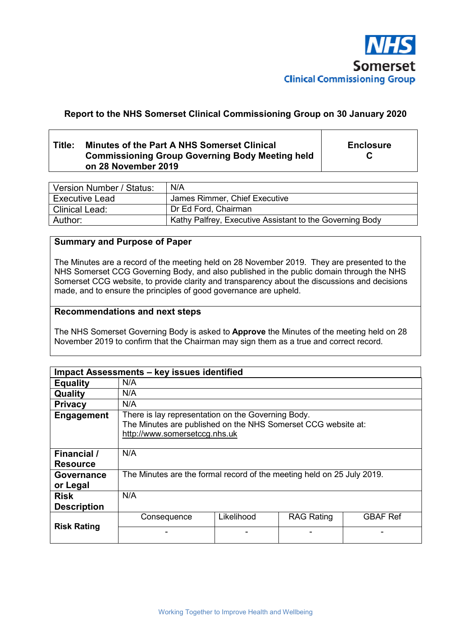

# **Report to the NHS Somerset Clinical Commissioning Group on 30 January 2020**

# **Title: Minutes of the Part A NHS Somerset Clinical Commissioning Group Governing Body Meeting held on 28 November 2019**

**Enclosure C** 

| Version Number / Status: | N/A                                                      |
|--------------------------|----------------------------------------------------------|
| <b>Executive Lead</b>    | James Rimmer, Chief Executive                            |
| l Clinical Lead:         | Dr Ed Ford, Chairman                                     |
| Author:                  | Kathy Palfrey, Executive Assistant to the Governing Body |

### **Summary and Purpose of Paper**

The Minutes are a record of the meeting held on 28 November 2019. They are presented to the NHS Somerset CCG Governing Body, and also published in the public domain through the NHS Somerset CCG website, to provide clarity and transparency about the discussions and decisions made, and to ensure the principles of good governance are upheld.

#### **Recommendations and next steps**

The NHS Somerset Governing Body is asked to **Approve** the Minutes of the meeting held on 28 November 2019 to confirm that the Chairman may sign them as a true and correct record.

|                                   | Impact Assessments - key issues identified                                                                                                           |            |                   |                 |
|-----------------------------------|------------------------------------------------------------------------------------------------------------------------------------------------------|------------|-------------------|-----------------|
| <b>Equality</b>                   | N/A                                                                                                                                                  |            |                   |                 |
| Quality                           | N/A                                                                                                                                                  |            |                   |                 |
| <b>Privacy</b>                    | N/A                                                                                                                                                  |            |                   |                 |
| <b>Engagement</b>                 | There is lay representation on the Governing Body.<br>The Minutes are published on the NHS Somerset CCG website at:<br>http://www.somersetccg.nhs.uk |            |                   |                 |
| Financial /<br><b>Resource</b>    | N/A                                                                                                                                                  |            |                   |                 |
| Governance<br>or Legal            | The Minutes are the formal record of the meeting held on 25 July 2019.                                                                               |            |                   |                 |
| <b>Risk</b><br><b>Description</b> | N/A                                                                                                                                                  |            |                   |                 |
| <b>Risk Rating</b>                | Consequence                                                                                                                                          | Likelihood | <b>RAG Rating</b> | <b>GBAF Ref</b> |
|                                   |                                                                                                                                                      |            |                   |                 |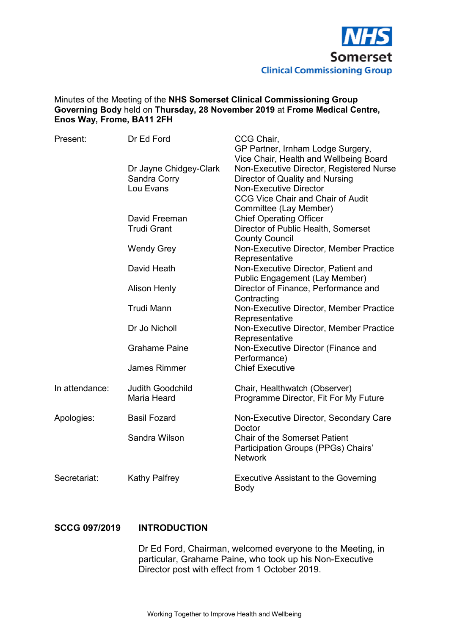

### Minutes of the Meeting of the **NHS Somerset Clinical Commissioning Group Governing Body** held on **Thursday, 28 November 2019** at **Frome Medical Centre, Enos Way, Frome, BA11 2FH**

| Present:       | Dr Ed Ford                | CCG Chair,<br>GP Partner, Irnham Lodge Surgery,                             |
|----------------|---------------------------|-----------------------------------------------------------------------------|
|                |                           | Vice Chair, Health and Wellbeing Board                                      |
|                | Dr Jayne Chidgey-Clark    | Non-Executive Director, Registered Nurse<br>Director of Quality and Nursing |
|                | Sandra Corry<br>Lou Evans | <b>Non-Executive Director</b>                                               |
|                |                           | <b>CCG Vice Chair and Chair of Audit</b>                                    |
|                |                           | Committee (Lay Member)                                                      |
|                | David Freeman             | <b>Chief Operating Officer</b>                                              |
|                | <b>Trudi Grant</b>        | Director of Public Health, Somerset                                         |
|                |                           | <b>County Council</b>                                                       |
|                | <b>Wendy Grey</b>         | Non-Executive Director, Member Practice                                     |
|                |                           | Representative                                                              |
|                | David Heath               | Non-Executive Director, Patient and                                         |
|                |                           | <b>Public Engagement (Lay Member)</b>                                       |
|                | <b>Alison Henly</b>       | Director of Finance, Performance and                                        |
|                |                           | Contracting                                                                 |
|                | <b>Trudi Mann</b>         | Non-Executive Director, Member Practice                                     |
|                |                           | Representative                                                              |
|                | Dr Jo Nicholl             | Non-Executive Director, Member Practice                                     |
|                |                           | Representative                                                              |
|                | <b>Grahame Paine</b>      | Non-Executive Director (Finance and                                         |
|                |                           | Performance)                                                                |
|                | <b>James Rimmer</b>       | <b>Chief Executive</b>                                                      |
| In attendance: | <b>Judith Goodchild</b>   | Chair, Healthwatch (Observer)                                               |
|                | Maria Heard               | Programme Director, Fit For My Future                                       |
| Apologies:     | <b>Basil Fozard</b>       | Non-Executive Director, Secondary Care                                      |
|                |                           | Doctor                                                                      |
|                | Sandra Wilson             | <b>Chair of the Somerset Patient</b>                                        |
|                |                           | Participation Groups (PPGs) Chairs'                                         |
|                |                           | <b>Network</b>                                                              |
| Secretariat:   | <b>Kathy Palfrey</b>      | <b>Executive Assistant to the Governing</b>                                 |
|                |                           | Body                                                                        |

### **SCCG 097/2019 INTRODUCTION**

Dr Ed Ford, Chairman, welcomed everyone to the Meeting, in particular, Grahame Paine, who took up his Non-Executive Director post with effect from 1 October 2019.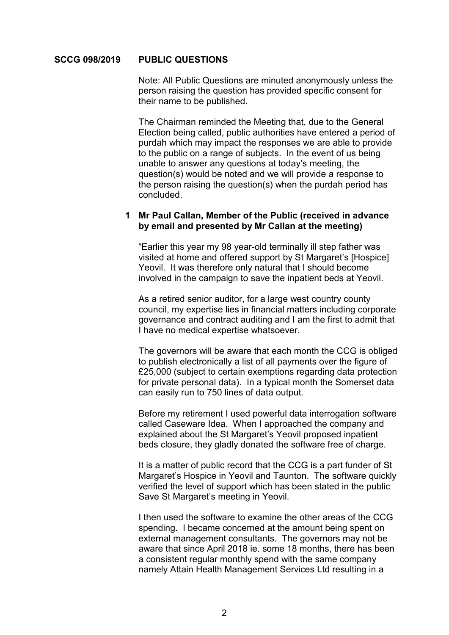#### **SCCG 098/2019 PUBLIC QUESTIONS**

 Note: All Public Questions are minuted anonymously unless the person raising the question has provided specific consent for their name to be published.

The Chairman reminded the Meeting that, due to the General Election being called, public authorities have entered a period of purdah which may impact the responses we are able to provide to the public on a range of subjects. In the event of us being unable to answer any questions at today's meeting, the question(s) would be noted and we will provide a response to the person raising the question(s) when the purdah period has concluded.

### **1 Mr Paul Callan, Member of the Public (received in advance by email and presented by Mr Callan at the meeting)**

"Earlier this year my 98 year-old terminally ill step father was visited at home and offered support by St Margaret's [Hospice] Yeovil. It was therefore only natural that I should become involved in the campaign to save the inpatient beds at Yeovil.

As a retired senior auditor, for a large west country county council, my expertise lies in financial matters including corporate governance and contract auditing and I am the first to admit that I have no medical expertise whatsoever.

The governors will be aware that each month the CCG is obliged to publish electronically a list of all payments over the figure of £25,000 (subject to certain exemptions regarding data protection for private personal data). In a typical month the Somerset data can easily run to 750 lines of data output.

Before my retirement I used powerful data interrogation software called Caseware Idea. When I approached the company and explained about the St Margaret's Yeovil proposed inpatient beds closure, they gladly donated the software free of charge.

It is a matter of public record that the CCG is a part funder of St Margaret's Hospice in Yeovil and Taunton. The software quickly verified the level of support which has been stated in the public Save St Margaret's meeting in Yeovil.

I then used the software to examine the other areas of the CCG spending. I became concerned at the amount being spent on external management consultants. The governors may not be aware that since April 2018 ie. some 18 months, there has been a consistent regular monthly spend with the same company namely Attain Health Management Services Ltd resulting in a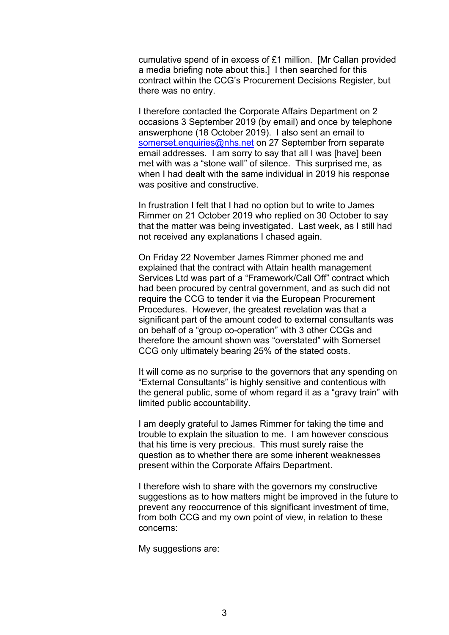cumulative spend of in excess of £1 million. [Mr Callan provided a media briefing note about this.] I then searched for this contract within the CCG's Procurement Decisions Register, but there was no entry.

I therefore contacted the Corporate Affairs Department on 2 occasions 3 September 2019 (by email) and once by telephone answerphone (18 October 2019). I also sent an email to somerset.enquiries@nhs.net on 27 September from separate email addresses. I am sorry to say that all I was [have] been met with was a "stone wall" of silence. This surprised me, as when I had dealt with the same individual in 2019 his response was positive and constructive.

In frustration I felt that I had no option but to write to James Rimmer on 21 October 2019 who replied on 30 October to say that the matter was being investigated. Last week, as I still had not received any explanations I chased again.

On Friday 22 November James Rimmer phoned me and explained that the contract with Attain health management Services Ltd was part of a "Framework/Call Off" contract which had been procured by central government, and as such did not require the CCG to tender it via the European Procurement Procedures. However, the greatest revelation was that a significant part of the amount coded to external consultants was on behalf of a "group co-operation" with 3 other CCGs and therefore the amount shown was "overstated" with Somerset CCG only ultimately bearing 25% of the stated costs.

It will come as no surprise to the governors that any spending on "External Consultants" is highly sensitive and contentious with the general public, some of whom regard it as a "gravy train" with limited public accountability.

I am deeply grateful to James Rimmer for taking the time and trouble to explain the situation to me. I am however conscious that his time is very precious. This must surely raise the question as to whether there are some inherent weaknesses present within the Corporate Affairs Department.

I therefore wish to share with the governors my constructive suggestions as to how matters might be improved in the future to prevent any reoccurrence of this significant investment of time, from both CCG and my own point of view, in relation to these concerns:

My suggestions are: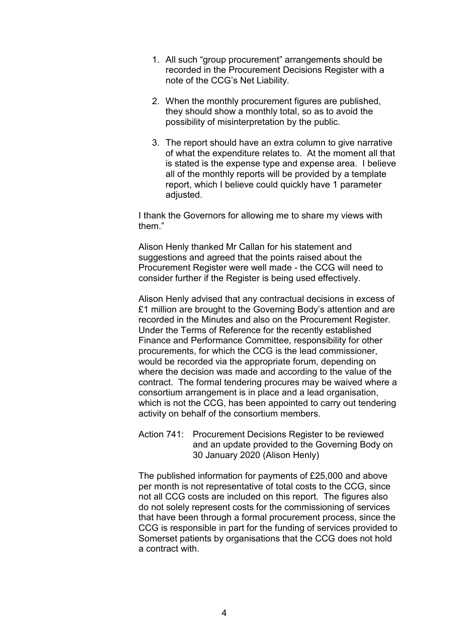- 1. All such "group procurement" arrangements should be recorded in the Procurement Decisions Register with a note of the CCG's Net Liability.
- 2. When the monthly procurement figures are published, they should show a monthly total, so as to avoid the possibility of misinterpretation by the public.
- 3. The report should have an extra column to give narrative of what the expenditure relates to. At the moment all that is stated is the expense type and expense area. I believe all of the monthly reports will be provided by a template report, which I believe could quickly have 1 parameter adjusted.

I thank the Governors for allowing me to share my views with them."

Alison Henly thanked Mr Callan for his statement and suggestions and agreed that the points raised about the Procurement Register were well made - the CCG will need to consider further if the Register is being used effectively.

Alison Henly advised that any contractual decisions in excess of £1 million are brought to the Governing Body's attention and are recorded in the Minutes and also on the Procurement Register. Under the Terms of Reference for the recently established Finance and Performance Committee, responsibility for other procurements, for which the CCG is the lead commissioner, would be recorded via the appropriate forum, depending on where the decision was made and according to the value of the contract. The formal tendering procures may be waived where a consortium arrangement is in place and a lead organisation, which is not the CCG, has been appointed to carry out tendering activity on behalf of the consortium members.

Action 741: Procurement Decisions Register to be reviewed and an update provided to the Governing Body on 30 January 2020 (Alison Henly)

The published information for payments of £25,000 and above per month is not representative of total costs to the CCG, since not all CCG costs are included on this report. The figures also do not solely represent costs for the commissioning of services that have been through a formal procurement process, since the CCG is responsible in part for the funding of services provided to Somerset patients by organisations that the CCG does not hold a contract with.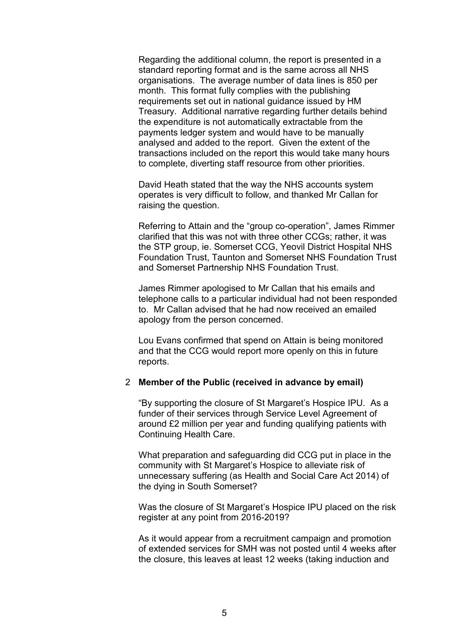Regarding the additional column, the report is presented in a standard reporting format and is the same across all NHS organisations. The average number of data lines is 850 per month. This format fully complies with the publishing requirements set out in national guidance issued by HM Treasury. Additional narrative regarding further details behind the expenditure is not automatically extractable from the payments ledger system and would have to be manually analysed and added to the report. Given the extent of the transactions included on the report this would take many hours to complete, diverting staff resource from other priorities.

David Heath stated that the way the NHS accounts system operates is very difficult to follow, and thanked Mr Callan for raising the question.

Referring to Attain and the "group co-operation", James Rimmer clarified that this was not with three other CCGs; rather, it was the STP group, ie. Somerset CCG, Yeovil District Hospital NHS Foundation Trust, Taunton and Somerset NHS Foundation Trust and Somerset Partnership NHS Foundation Trust.

James Rimmer apologised to Mr Callan that his emails and telephone calls to a particular individual had not been responded to. Mr Callan advised that he had now received an emailed apology from the person concerned.

Lou Evans confirmed that spend on Attain is being monitored and that the CCG would report more openly on this in future reports.

#### 2 **Member of the Public (received in advance by email)**

"By supporting the closure of St Margaret's Hospice IPU. As a funder of their services through Service Level Agreement of around £2 million per year and funding qualifying patients with Continuing Health Care.

What preparation and safeguarding did CCG put in place in the community with St Margaret's Hospice to alleviate risk of unnecessary suffering (as Health and Social Care Act 2014) of the dying in South Somerset?

Was the closure of St Margaret's Hospice IPU placed on the risk register at any point from 2016-2019?

As it would appear from a recruitment campaign and promotion of extended services for SMH was not posted until 4 weeks after the closure, this leaves at least 12 weeks (taking induction and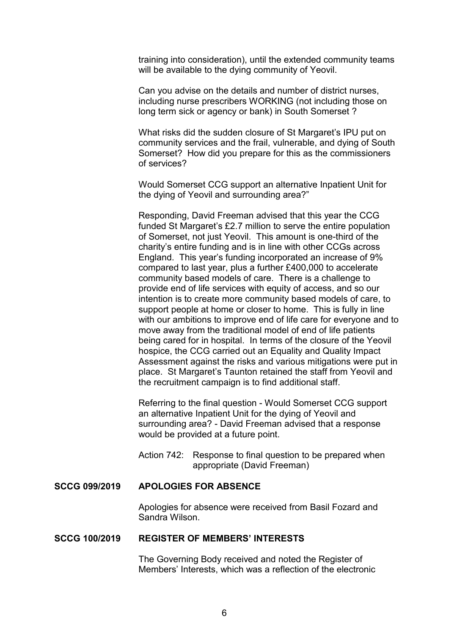training into consideration), until the extended community teams will be available to the dying community of Yeovil.

Can you advise on the details and number of district nurses, including nurse prescribers WORKING (not including those on long term sick or agency or bank) in South Somerset ?

What risks did the sudden closure of St Margaret's IPU put on community services and the frail, vulnerable, and dying of South Somerset? How did you prepare for this as the commissioners of services?

Would Somerset CCG support an alternative Inpatient Unit for the dying of Yeovil and surrounding area?"

Responding, David Freeman advised that this year the CCG funded St Margaret's £2.7 million to serve the entire population of Somerset, not just Yeovil. This amount is one-third of the charity's entire funding and is in line with other CCGs across England. This year's funding incorporated an increase of 9% compared to last year, plus a further £400,000 to accelerate community based models of care. There is a challenge to provide end of life services with equity of access, and so our intention is to create more community based models of care, to support people at home or closer to home. This is fully in line with our ambitions to improve end of life care for everyone and to move away from the traditional model of end of life patients being cared for in hospital. In terms of the closure of the Yeovil hospice, the CCG carried out an Equality and Quality Impact Assessment against the risks and various mitigations were put in place. St Margaret's Taunton retained the staff from Yeovil and the recruitment campaign is to find additional staff.

Referring to the final question - Would Somerset CCG support an alternative Inpatient Unit for the dying of Yeovil and surrounding area? - David Freeman advised that a response would be provided at a future point.

Action 742: Response to final question to be prepared when appropriate (David Freeman)

## **SCCG 099/2019 APOLOGIES FOR ABSENCE**

 Apologies for absence were received from Basil Fozard and Sandra Wilson.

#### **SCCG 100/2019 REGISTER OF MEMBERS' INTERESTS**

 The Governing Body received and noted the Register of Members' Interests, which was a reflection of the electronic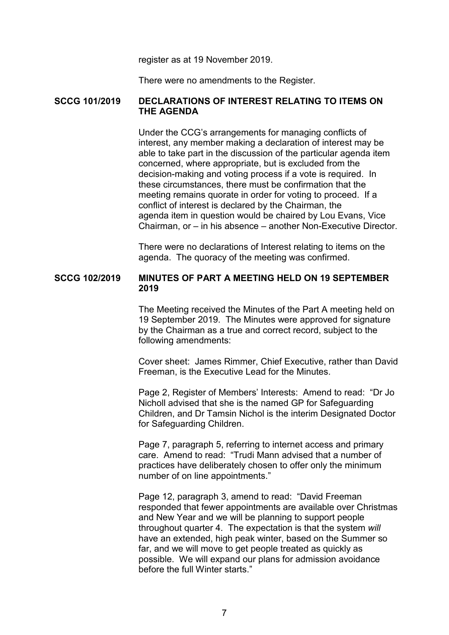register as at 19 November 2019.

There were no amendments to the Register.

# **SCCG 101/2019 DECLARATIONS OF INTEREST RELATING TO ITEMS ON THE AGENDA**

 Under the CCG's arrangements for managing conflicts of interest, any member making a declaration of interest may be able to take part in the discussion of the particular agenda item concerned, where appropriate, but is excluded from the decision-making and voting process if a vote is required. In these circumstances, there must be confirmation that the meeting remains quorate in order for voting to proceed. If a conflict of interest is declared by the Chairman, the agenda item in question would be chaired by Lou Evans, Vice Chairman, or – in his absence – another Non-Executive Director.

 There were no declarations of Interest relating to items on the agenda. The quoracy of the meeting was confirmed.

# **SCCG 102/2019 MINUTES OF PART A MEETING HELD ON 19 SEPTEMBER 2019**

 The Meeting received the Minutes of the Part A meeting held on 19 September 2019. The Minutes were approved for signature by the Chairman as a true and correct record, subject to the following amendments:

 Cover sheet: James Rimmer, Chief Executive, rather than David Freeman, is the Executive Lead for the Minutes.

 Page 2, Register of Members' Interests: Amend to read: "Dr Jo Nicholl advised that she is the named GP for Safeguarding Children, and Dr Tamsin Nichol is the interim Designated Doctor for Safeguarding Children.

 Page 7, paragraph 5, referring to internet access and primary care. Amend to read: "Trudi Mann advised that a number of practices have deliberately chosen to offer only the minimum number of on line appointments."

 Page 12, paragraph 3, amend to read: "David Freeman responded that fewer appointments are available over Christmas and New Year and we will be planning to support people throughout quarter 4. The expectation is that the system *will* have an extended, high peak winter, based on the Summer so far, and we will move to get people treated as quickly as possible. We will expand our plans for admission avoidance before the full Winter starts."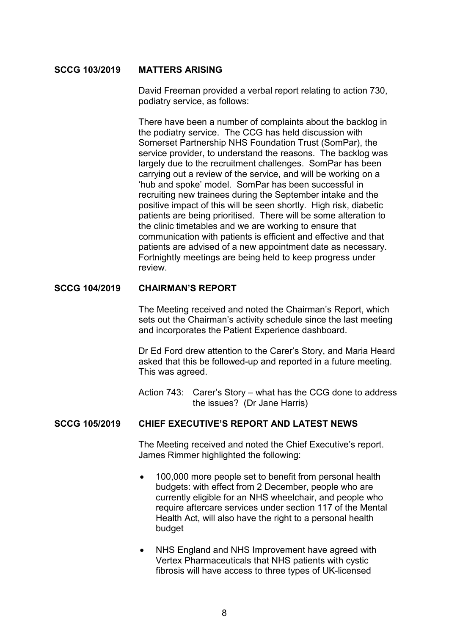## **SCCG 103/2019 MATTERS ARISING**

 David Freeman provided a verbal report relating to action 730, podiatry service, as follows:

 There have been a number of complaints about the backlog in the podiatry service. The CCG has held discussion with Somerset Partnership NHS Foundation Trust (SomPar), the service provider, to understand the reasons. The backlog was largely due to the recruitment challenges. SomPar has been carrying out a review of the service, and will be working on a 'hub and spoke' model. SomPar has been successful in recruiting new trainees during the September intake and the positive impact of this will be seen shortly. High risk, diabetic patients are being prioritised. There will be some alteration to the clinic timetables and we are working to ensure that communication with patients is efficient and effective and that patients are advised of a new appointment date as necessary. Fortnightly meetings are being held to keep progress under review.

# **SCCG 104/2019 CHAIRMAN'S REPORT**

 The Meeting received and noted the Chairman's Report, which sets out the Chairman's activity schedule since the last meeting and incorporates the Patient Experience dashboard.

 Dr Ed Ford drew attention to the Carer's Story, and Maria Heard asked that this be followed-up and reported in a future meeting. This was agreed.

 Action 743: Carer's Story – what has the CCG done to address the issues? (Dr Jane Harris)

### **SCCG 105/2019 CHIEF EXECUTIVE'S REPORT AND LATEST NEWS**

 The Meeting received and noted the Chief Executive's report. James Rimmer highlighted the following:

- 100,000 more people set to benefit from personal health budgets: with effect from 2 December, people who are currently eligible for an NHS wheelchair, and people who require aftercare services under section 117 of the Mental Health Act, will also have the right to a personal health budget
- NHS England and NHS Improvement have agreed with Vertex Pharmaceuticals that NHS patients with cystic fibrosis will have access to three types of UK-licensed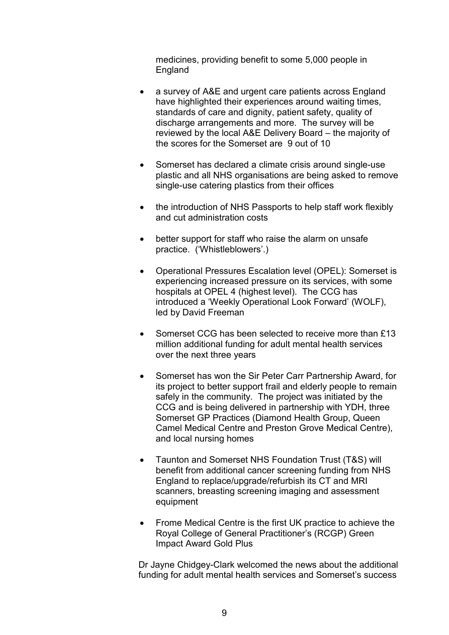medicines, providing benefit to some 5,000 people in England

- a survey of A&E and urgent care patients across England have highlighted their experiences around waiting times, standards of care and dignity, patient safety, quality of discharge arrangements and more. The survey will be reviewed by the local A&E Delivery Board – the majority of the scores for the Somerset are 9 out of 10
- Somerset has declared a climate crisis around single-use plastic and all NHS organisations are being asked to remove single-use catering plastics from their offices
- the introduction of NHS Passports to help staff work flexibly and cut administration costs
- better support for staff who raise the alarm on unsafe practice. ('Whistleblowers'.)
- Operational Pressures Escalation level (OPEL): Somerset is experiencing increased pressure on its services, with some hospitals at OPEL 4 (highest level). The CCG has introduced a 'Weekly Operational Look Forward' (WOLF), led by David Freeman
- Somerset CCG has been selected to receive more than £13 million additional funding for adult mental health services over the next three years
- Somerset has won the Sir Peter Carr Partnership Award, for its project to better support frail and elderly people to remain safely in the community. The project was initiated by the CCG and is being delivered in partnership with YDH, three Somerset GP Practices (Diamond Health Group, Queen Camel Medical Centre and Preston Grove Medical Centre), and local nursing homes
- Taunton and Somerset NHS Foundation Trust (T&S) will benefit from additional cancer screening funding from NHS England to replace/upgrade/refurbish its CT and MRI scanners, breasting screening imaging and assessment equipment
- Frome Medical Centre is the first UK practice to achieve the Royal College of General Practitioner's (RCGP) Green Impact Award Gold Plus

 Dr Jayne Chidgey-Clark welcomed the news about the additional funding for adult mental health services and Somerset's success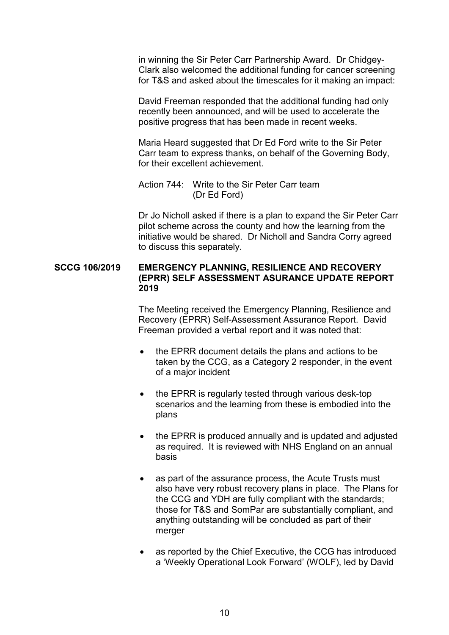in winning the Sir Peter Carr Partnership Award. Dr Chidgey-Clark also welcomed the additional funding for cancer screening for T&S and asked about the timescales for it making an impact:

 David Freeman responded that the additional funding had only recently been announced, and will be used to accelerate the positive progress that has been made in recent weeks.

 Maria Heard suggested that Dr Ed Ford write to the Sir Peter Carr team to express thanks, on behalf of the Governing Body, for their excellent achievement.

 Action 744: Write to the Sir Peter Carr team (Dr Ed Ford)

 Dr Jo Nicholl asked if there is a plan to expand the Sir Peter Carr pilot scheme across the county and how the learning from the initiative would be shared. Dr Nicholl and Sandra Corry agreed to discuss this separately.

# **SCCG 106/2019 EMERGENCY PLANNING, RESILIENCE AND RECOVERY (EPRR) SELF ASSESSMENT ASURANCE UPDATE REPORT 2019**

 The Meeting received the Emergency Planning, Resilience and Recovery (EPRR) Self-Assessment Assurance Report. David Freeman provided a verbal report and it was noted that:

- the EPRR document details the plans and actions to be taken by the CCG, as a Category 2 responder, in the event of a major incident
- the EPRR is regularly tested through various desk-top scenarios and the learning from these is embodied into the plans
- the EPRR is produced annually and is updated and adjusted as required. It is reviewed with NHS England on an annual basis
- as part of the assurance process, the Acute Trusts must also have very robust recovery plans in place. The Plans for the CCG and YDH are fully compliant with the standards; those for T&S and SomPar are substantially compliant, and anything outstanding will be concluded as part of their merger
- as reported by the Chief Executive, the CCG has introduced a 'Weekly Operational Look Forward' (WOLF), led by David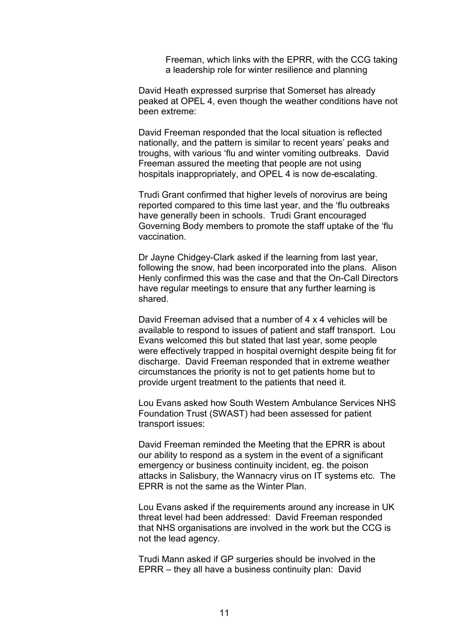Freeman, which links with the EPRR, with the CCG taking a leadership role for winter resilience and planning

 David Heath expressed surprise that Somerset has already peaked at OPEL 4, even though the weather conditions have not been extreme:

 David Freeman responded that the local situation is reflected nationally, and the pattern is similar to recent years' peaks and troughs, with various 'flu and winter vomiting outbreaks. David Freeman assured the meeting that people are not using hospitals inappropriately, and OPEL 4 is now de-escalating.

 Trudi Grant confirmed that higher levels of norovirus are being reported compared to this time last year, and the 'flu outbreaks have generally been in schools. Trudi Grant encouraged Governing Body members to promote the staff uptake of the 'flu vaccination.

 Dr Jayne Chidgey-Clark asked if the learning from last year, following the snow, had been incorporated into the plans. Alison Henly confirmed this was the case and that the On-Call Directors have regular meetings to ensure that any further learning is shared.

 David Freeman advised that a number of 4 x 4 vehicles will be available to respond to issues of patient and staff transport. Lou Evans welcomed this but stated that last year, some people were effectively trapped in hospital overnight despite being fit for discharge. David Freeman responded that in extreme weather circumstances the priority is not to get patients home but to provide urgent treatment to the patients that need it.

 Lou Evans asked how South Western Ambulance Services NHS Foundation Trust (SWAST) had been assessed for patient transport issues:

 David Freeman reminded the Meeting that the EPRR is about our ability to respond as a system in the event of a significant emergency or business continuity incident, eg. the poison attacks in Salisbury, the Wannacry virus on IT systems etc. The EPRR is not the same as the Winter Plan.

 Lou Evans asked if the requirements around any increase in UK threat level had been addressed: David Freeman responded that NHS organisations are involved in the work but the CCG is not the lead agency.

 Trudi Mann asked if GP surgeries should be involved in the EPRR – they all have a business continuity plan: David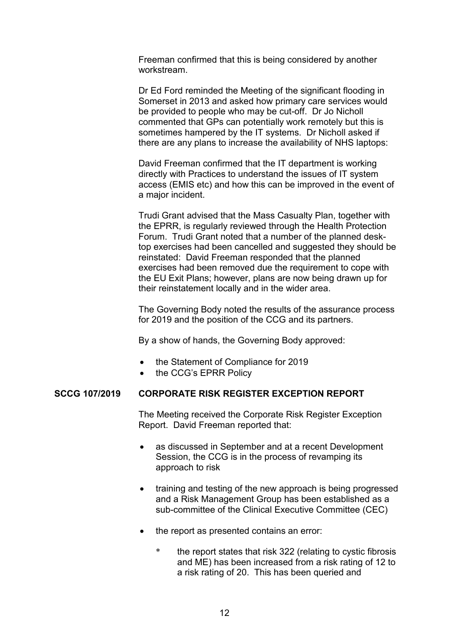Freeman confirmed that this is being considered by another workstream.

 Dr Ed Ford reminded the Meeting of the significant flooding in Somerset in 2013 and asked how primary care services would be provided to people who may be cut-off. Dr Jo Nicholl commented that GPs can potentially work remotely but this is sometimes hampered by the IT systems. Dr Nicholl asked if there are any plans to increase the availability of NHS laptops:

 David Freeman confirmed that the IT department is working directly with Practices to understand the issues of IT system access (EMIS etc) and how this can be improved in the event of a major incident.

 Trudi Grant advised that the Mass Casualty Plan, together with the EPRR, is regularly reviewed through the Health Protection Forum. Trudi Grant noted that a number of the planned desktop exercises had been cancelled and suggested they should be reinstated: David Freeman responded that the planned exercises had been removed due the requirement to cope with the EU Exit Plans; however, plans are now being drawn up for their reinstatement locally and in the wider area.

 The Governing Body noted the results of the assurance process for 2019 and the position of the CCG and its partners.

By a show of hands, the Governing Body approved:

- the Statement of Compliance for 2019
- the CCG's EPRR Policy

# **SCCG 107/2019 CORPORATE RISK REGISTER EXCEPTION REPORT**

 The Meeting received the Corporate Risk Register Exception Report. David Freeman reported that:

- as discussed in September and at a recent Development Session, the CCG is in the process of revamping its approach to risk
- training and testing of the new approach is being progressed and a Risk Management Group has been established as a sub-committee of the Clinical Executive Committee (CEC)
- the report as presented contains an error:
	- the report states that risk 322 (relating to cystic fibrosis and ME) has been increased from a risk rating of 12 to a risk rating of 20. This has been queried and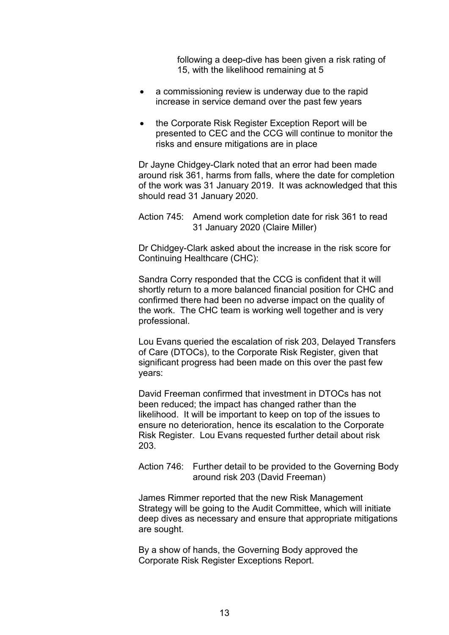following a deep-dive has been given a risk rating of 15, with the likelihood remaining at 5

- a commissioning review is underway due to the rapid increase in service demand over the past few years
- the Corporate Risk Register Exception Report will be presented to CEC and the CCG will continue to monitor the risks and ensure mitigations are in place

 Dr Jayne Chidgey-Clark noted that an error had been made around risk 361, harms from falls, where the date for completion of the work was 31 January 2019. It was acknowledged that this should read 31 January 2020.

 Dr Chidgey-Clark asked about the increase in the risk score for Continuing Healthcare (CHC):

 Sandra Corry responded that the CCG is confident that it will shortly return to a more balanced financial position for CHC and confirmed there had been no adverse impact on the quality of the work. The CHC team is working well together and is very professional.

 Lou Evans queried the escalation of risk 203, Delayed Transfers of Care (DTOCs), to the Corporate Risk Register, given that significant progress had been made on this over the past few years:

 David Freeman confirmed that investment in DTOCs has not been reduced; the impact has changed rather than the likelihood. It will be important to keep on top of the issues to ensure no deterioration, hence its escalation to the Corporate Risk Register. Lou Evans requested further detail about risk 203.

 Action 746: Further detail to be provided to the Governing Body around risk 203 (David Freeman)

 James Rimmer reported that the new Risk Management Strategy will be going to the Audit Committee, which will initiate deep dives as necessary and ensure that appropriate mitigations are sought.

 By a show of hands, the Governing Body approved the Corporate Risk Register Exceptions Report.

Action 745: Amend work completion date for risk 361 to read 31 January 2020 (Claire Miller)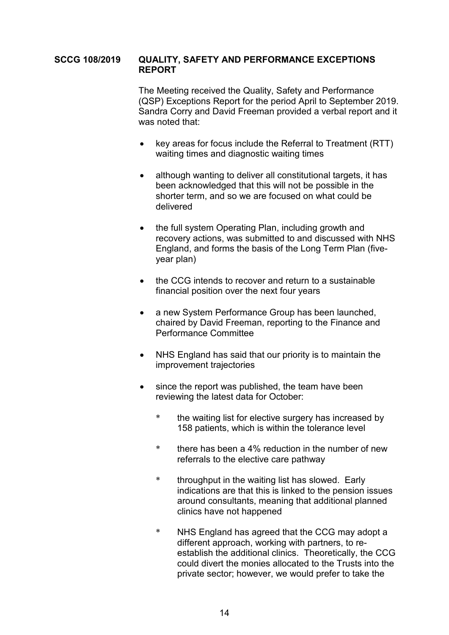## **SCCG 108/2019 QUALITY, SAFETY AND PERFORMANCE EXCEPTIONS REPORT**

 The Meeting received the Quality, Safety and Performance (QSP) Exceptions Report for the period April to September 2019. Sandra Corry and David Freeman provided a verbal report and it was noted that:

- key areas for focus include the Referral to Treatment (RTT) waiting times and diagnostic waiting times
- although wanting to deliver all constitutional targets, it has been acknowledged that this will not be possible in the shorter term, and so we are focused on what could be delivered
- the full system Operating Plan, including growth and recovery actions, was submitted to and discussed with NHS England, and forms the basis of the Long Term Plan (fiveyear plan)
- the CCG intends to recover and return to a sustainable financial position over the next four years
- a new System Performance Group has been launched, chaired by David Freeman, reporting to the Finance and Performance Committee
- NHS England has said that our priority is to maintain the improvement trajectories
- since the report was published, the team have been reviewing the latest data for October:
	- \* the waiting list for elective surgery has increased by 158 patients, which is within the tolerance level
	- \* there has been a 4% reduction in the number of new referrals to the elective care pathway
	- \* throughput in the waiting list has slowed. Early indications are that this is linked to the pension issues around consultants, meaning that additional planned clinics have not happened
	- \* NHS England has agreed that the CCG may adopt a different approach, working with partners, to reestablish the additional clinics. Theoretically, the CCG could divert the monies allocated to the Trusts into the private sector; however, we would prefer to take the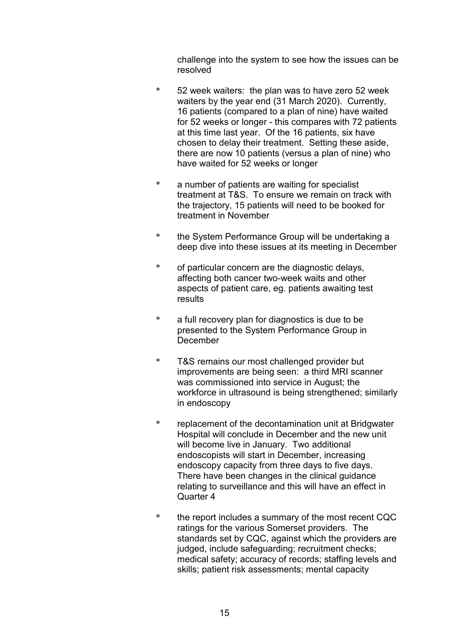challenge into the system to see how the issues can be resolved

- \* 52 week waiters: the plan was to have zero 52 week waiters by the year end (31 March 2020). Currently, 16 patients (compared to a plan of nine) have waited for 52 weeks or longer - this compares with 72 patients at this time last year. Of the 16 patients, six have chosen to delay their treatment. Setting these aside, there are now 10 patients (versus a plan of nine) who have waited for 52 weeks or longer
- \* a number of patients are waiting for specialist treatment at T&S. To ensure we remain on track with the trajectory, 15 patients will need to be booked for treatment in November
- \* the System Performance Group will be undertaking a deep dive into these issues at its meeting in December
- \* of particular concern are the diagnostic delays, affecting both cancer two-week waits and other aspects of patient care, eg. patients awaiting test results
- \* a full recovery plan for diagnostics is due to be presented to the System Performance Group in December
- \* T&S remains our most challenged provider but improvements are being seen: a third MRI scanner was commissioned into service in August; the workforce in ultrasound is being strengthened; similarly in endoscopy
- \* replacement of the decontamination unit at Bridgwater Hospital will conclude in December and the new unit will become live in January. Two additional endoscopists will start in December, increasing endoscopy capacity from three days to five days. There have been changes in the clinical guidance relating to surveillance and this will have an effect in Quarter 4
- \* the report includes a summary of the most recent CQC ratings for the various Somerset providers. The standards set by CQC, against which the providers are judged, include safeguarding; recruitment checks; medical safety; accuracy of records; staffing levels and skills; patient risk assessments; mental capacity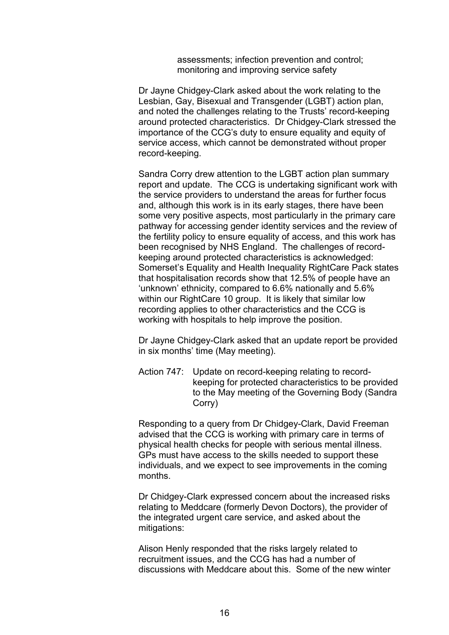assessments; infection prevention and control; monitoring and improving service safety

 Dr Jayne Chidgey-Clark asked about the work relating to the Lesbian, Gay, Bisexual and Transgender (LGBT) action plan, and noted the challenges relating to the Trusts' record-keeping around protected characteristics. Dr Chidgey-Clark stressed the importance of the CCG's duty to ensure equality and equity of service access, which cannot be demonstrated without proper record-keeping.

 Sandra Corry drew attention to the LGBT action plan summary report and update. The CCG is undertaking significant work with the service providers to understand the areas for further focus and, although this work is in its early stages, there have been some very positive aspects, most particularly in the primary care pathway for accessing gender identity services and the review of the fertility policy to ensure equality of access, and this work has been recognised by NHS England. The challenges of recordkeeping around protected characteristics is acknowledged: Somerset's Equality and Health Inequality RightCare Pack states that hospitalisation records show that 12.5% of people have an 'unknown' ethnicity, compared to 6.6% nationally and 5.6% within our RightCare 10 group. It is likely that similar low recording applies to other characteristics and the CCG is working with hospitals to help improve the position.

 Dr Jayne Chidgey-Clark asked that an update report be provided in six months' time (May meeting).

 Action 747: Update on record-keeping relating to recordkeeping for protected characteristics to be provided to the May meeting of the Governing Body (Sandra Corry)

 Responding to a query from Dr Chidgey-Clark, David Freeman advised that the CCG is working with primary care in terms of physical health checks for people with serious mental illness. GPs must have access to the skills needed to support these individuals, and we expect to see improvements in the coming months.

 Dr Chidgey-Clark expressed concern about the increased risks relating to Meddcare (formerly Devon Doctors), the provider of the integrated urgent care service, and asked about the mitigations:

 Alison Henly responded that the risks largely related to recruitment issues, and the CCG has had a number of discussions with Meddcare about this. Some of the new winter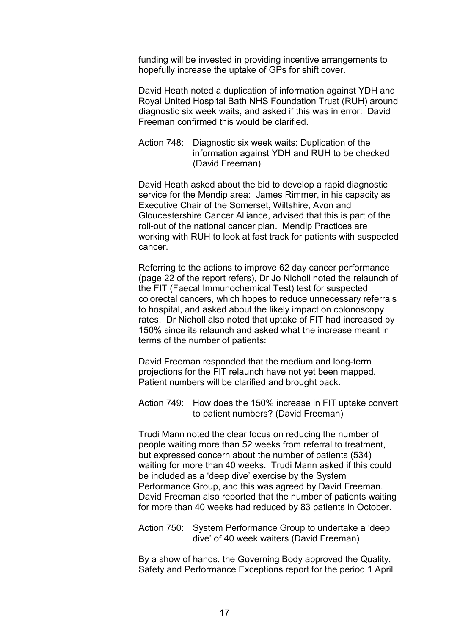funding will be invested in providing incentive arrangements to hopefully increase the uptake of GPs for shift cover.

 David Heath noted a duplication of information against YDH and Royal United Hospital Bath NHS Foundation Trust (RUH) around diagnostic six week waits, and asked if this was in error: David Freeman confirmed this would be clarified.

 Action 748: Diagnostic six week waits: Duplication of the information against YDH and RUH to be checked (David Freeman)

 David Heath asked about the bid to develop a rapid diagnostic service for the Mendip area: James Rimmer, in his capacity as Executive Chair of the Somerset, Wiltshire, Avon and Gloucestershire Cancer Alliance, advised that this is part of the roll-out of the national cancer plan. Mendip Practices are working with RUH to look at fast track for patients with suspected cancer.

 Referring to the actions to improve 62 day cancer performance (page 22 of the report refers), Dr Jo Nicholl noted the relaunch of the FIT (Faecal Immunochemical Test) test for suspected colorectal cancers, which hopes to reduce unnecessary referrals to hospital, and asked about the likely impact on colonoscopy rates. Dr Nicholl also noted that uptake of FIT had increased by 150% since its relaunch and asked what the increase meant in terms of the number of patients:

 David Freeman responded that the medium and long-term projections for the FIT relaunch have not yet been mapped. Patient numbers will be clarified and brought back.

 Action 749: How does the 150% increase in FIT uptake convert to patient numbers? (David Freeman)

 Trudi Mann noted the clear focus on reducing the number of people waiting more than 52 weeks from referral to treatment, but expressed concern about the number of patients (534) waiting for more than 40 weeks. Trudi Mann asked if this could be included as a 'deep dive' exercise by the System Performance Group, and this was agreed by David Freeman. David Freeman also reported that the number of patients waiting for more than 40 weeks had reduced by 83 patients in October.

 Action 750: System Performance Group to undertake a 'deep dive' of 40 week waiters (David Freeman)

 By a show of hands, the Governing Body approved the Quality, Safety and Performance Exceptions report for the period 1 April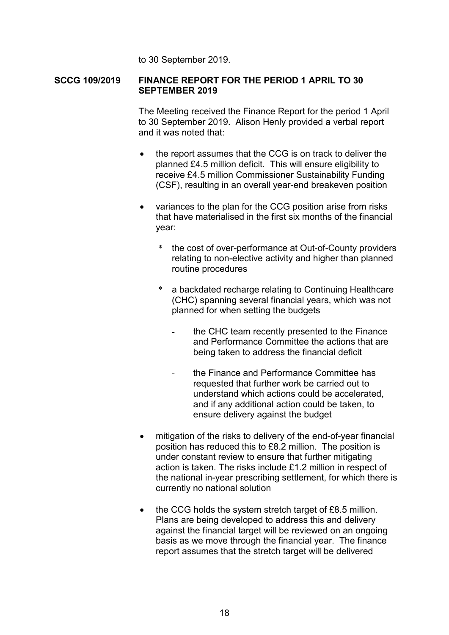to 30 September 2019.

## **SCCG 109/2019 FINANCE REPORT FOR THE PERIOD 1 APRIL TO 30 SEPTEMBER 2019**

 The Meeting received the Finance Report for the period 1 April to 30 September 2019. Alison Henly provided a verbal report and it was noted that:

- the report assumes that the CCG is on track to deliver the planned £4.5 million deficit. This will ensure eligibility to receive £4.5 million Commissioner Sustainability Funding (CSF), resulting in an overall year-end breakeven position
- variances to the plan for the CCG position arise from risks that have materialised in the first six months of the financial year:
	- \* the cost of over-performance at Out-of-County providers relating to non-elective activity and higher than planned routine procedures
	- \* a backdated recharge relating to Continuing Healthcare (CHC) spanning several financial years, which was not planned for when setting the budgets
		- the CHC team recently presented to the Finance and Performance Committee the actions that are being taken to address the financial deficit
		- the Finance and Performance Committee has requested that further work be carried out to understand which actions could be accelerated, and if any additional action could be taken, to ensure delivery against the budget
- mitigation of the risks to delivery of the end-of-year financial position has reduced this to £8.2 million. The position is under constant review to ensure that further mitigating action is taken. The risks include £1.2 million in respect of the national in-year prescribing settlement, for which there is currently no national solution
- the CCG holds the system stretch target of £8.5 million. Plans are being developed to address this and delivery against the financial target will be reviewed on an ongoing basis as we move through the financial year. The finance report assumes that the stretch target will be delivered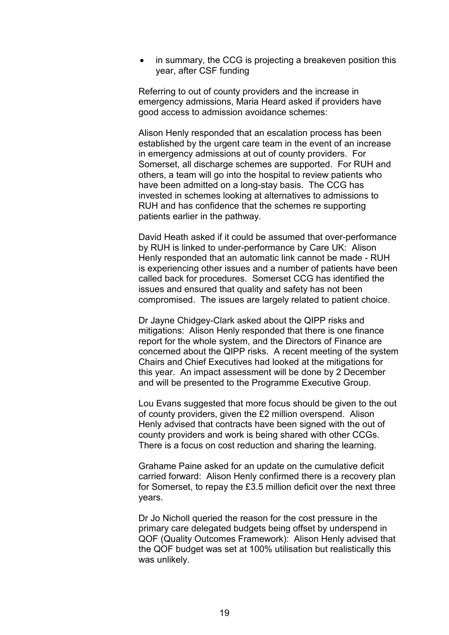in summary, the CCG is projecting a breakeven position this year, after CSF funding

 Referring to out of county providers and the increase in emergency admissions, Maria Heard asked if providers have good access to admission avoidance schemes:

 Alison Henly responded that an escalation process has been established by the urgent care team in the event of an increase in emergency admissions at out of county providers. For Somerset, all discharge schemes are supported. For RUH and others, a team will go into the hospital to review patients who have been admitted on a long-stay basis. The CCG has invested in schemes looking at alternatives to admissions to RUH and has confidence that the schemes re supporting patients earlier in the pathway.

 David Heath asked if it could be assumed that over-performance by RUH is linked to under-performance by Care UK: Alison Henly responded that an automatic link cannot be made - RUH is experiencing other issues and a number of patients have been called back for procedures. Somerset CCG has identified the issues and ensured that quality and safety has not been compromised. The issues are largely related to patient choice.

 Dr Jayne Chidgey-Clark asked about the QIPP risks and mitigations: Alison Henly responded that there is one finance report for the whole system, and the Directors of Finance are concerned about the QIPP risks. A recent meeting of the system Chairs and Chief Executives had looked at the mitigations for this year. An impact assessment will be done by 2 December and will be presented to the Programme Executive Group.

 Lou Evans suggested that more focus should be given to the out of county providers, given the £2 million overspend. Alison Henly advised that contracts have been signed with the out of county providers and work is being shared with other CCGs. There is a focus on cost reduction and sharing the learning.

 Grahame Paine asked for an update on the cumulative deficit carried forward: Alison Henly confirmed there is a recovery plan for Somerset, to repay the £3.5 million deficit over the next three years.

 Dr Jo Nicholl queried the reason for the cost pressure in the primary care delegated budgets being offset by underspend in QOF (Quality Outcomes Framework): Alison Henly advised that the QOF budget was set at 100% utilisation but realistically this was unlikely.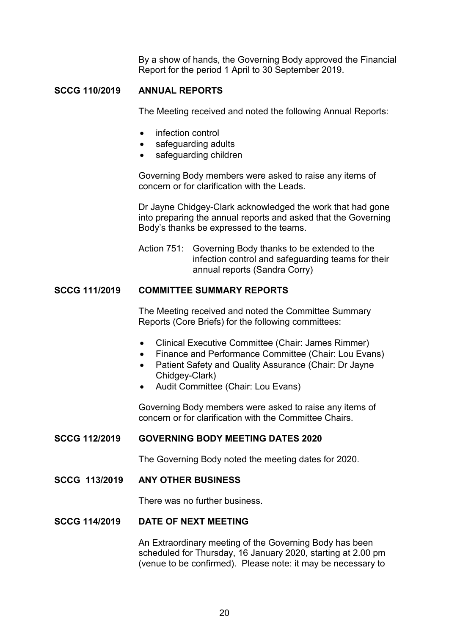By a show of hands, the Governing Body approved the Financial Report for the period 1 April to 30 September 2019.

# **SCCG 110/2019 ANNUAL REPORTS**

The Meeting received and noted the following Annual Reports:

- infection control
- safeguarding adults
- safeguarding children

 Governing Body members were asked to raise any items of concern or for clarification with the Leads.

 Dr Jayne Chidgey-Clark acknowledged the work that had gone into preparing the annual reports and asked that the Governing Body's thanks be expressed to the teams.

 Action 751: Governing Body thanks to be extended to the infection control and safeguarding teams for their annual reports (Sandra Corry)

# **SCCG 111/2019 COMMITTEE SUMMARY REPORTS**

 The Meeting received and noted the Committee Summary Reports (Core Briefs) for the following committees:

- Clinical Executive Committee (Chair: James Rimmer)
- Finance and Performance Committee (Chair: Lou Evans)
- Patient Safety and Quality Assurance (Chair: Dr Jayne Chidgey-Clark)
- Audit Committee (Chair: Lou Evans)

 Governing Body members were asked to raise any items of concern or for clarification with the Committee Chairs.

### **SCCG 112/2019 GOVERNING BODY MEETING DATES 2020**

The Governing Body noted the meeting dates for 2020.

**SCCG 113/2019 ANY OTHER BUSINESS**

There was no further business.

# **SCCG 114/2019 DATE OF NEXT MEETING**

 An Extraordinary meeting of the Governing Body has been scheduled for Thursday, 16 January 2020, starting at 2.00 pm (venue to be confirmed). Please note: it may be necessary to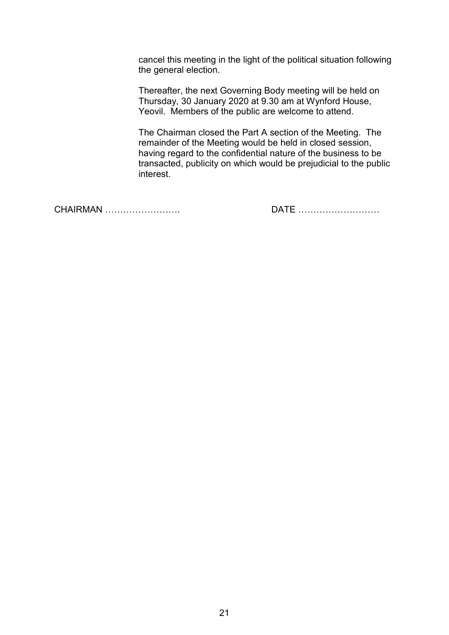cancel this meeting in the light of the political situation following the general election.

 Thereafter, the next Governing Body meeting will be held on Thursday, 30 January 2020 at 9.30 am at Wynford House, Yeovil. Members of the public are welcome to attend.

 The Chairman closed the Part A section of the Meeting. The remainder of the Meeting would be held in closed session, having regard to the confidential nature of the business to be transacted, publicity on which would be prejudicial to the public interest.

CHAIRMAN ……………………. DATE ………………………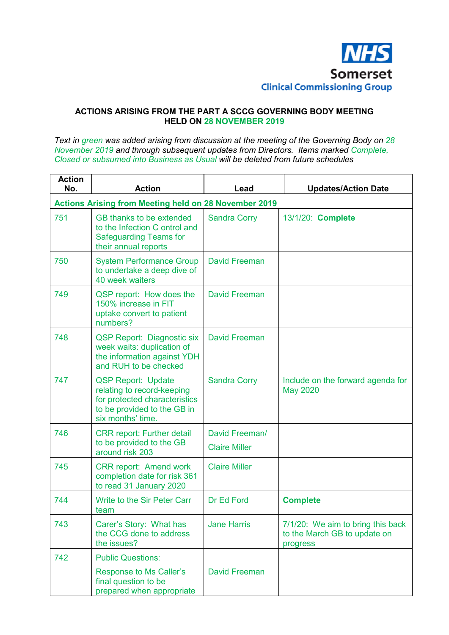

#### **ACTIONS ARISING FROM THE PART A SCCG GOVERNING BODY MEETING HELD ON 28 NOVEMBER 2019**

*Text in green was added arising from discussion at the meeting of the Governing Body on 28 November 2019 and through subsequent updates from Directors. Items marked Complete, Closed or subsumed into Business as Usual will be deleted from future schedules* 

| <b>Action</b><br>No. | <b>Action</b>                                                                                                                                | Lead                                   | <b>Updates/Action Date</b>                                                    |
|----------------------|----------------------------------------------------------------------------------------------------------------------------------------------|----------------------------------------|-------------------------------------------------------------------------------|
|                      | <b>Actions Arising from Meeting held on 28 November 2019</b>                                                                                 |                                        |                                                                               |
| 751                  | GB thanks to be extended<br>to the Infection C ontrol and<br><b>Safeguarding Teams for</b><br>their annual reports                           | <b>Sandra Corry</b>                    | 13/1/20: Complete                                                             |
| 750                  | <b>System Performance Group</b><br>to undertake a deep dive of<br>40 week waiters                                                            | <b>David Freeman</b>                   |                                                                               |
| 749                  | QSP report: How does the<br>150% increase in FIT<br>uptake convert to patient<br>numbers?                                                    | <b>David Freeman</b>                   |                                                                               |
| 748                  | <b>QSP Report: Diagnostic six</b><br>week waits: duplication of<br>the information against YDH<br>and RUH to be checked                      | David Freeman                          |                                                                               |
| 747                  | <b>QSP Report: Update</b><br>relating to record-keeping<br>for protected characteristics<br>to be provided to the GB in<br>six months' time. | <b>Sandra Corry</b>                    | Include on the forward agenda for<br><b>May 2020</b>                          |
| 746                  | <b>CRR report: Further detail</b><br>to be provided to the GB<br>around risk 203                                                             | David Freeman/<br><b>Claire Miller</b> |                                                                               |
| 745                  | <b>CRR report: Amend work</b><br>completion date for risk 361<br>to read 31 January 2020                                                     | <b>Claire Miller</b>                   |                                                                               |
| 744                  | <b>Write to the Sir Peter Carr</b><br>team                                                                                                   | Dr Ed Ford                             | <b>Complete</b>                                                               |
| 743                  | Carer's Story: What has<br>the CCG done to address<br>the issues?                                                                            | <b>Jane Harris</b>                     | 7/1/20: We aim to bring this back<br>to the March GB to update on<br>progress |
| 742                  | <b>Public Questions:</b><br>Response to Ms Caller's<br>final question to be<br>prepared when appropriate                                     | <b>David Freeman</b>                   |                                                                               |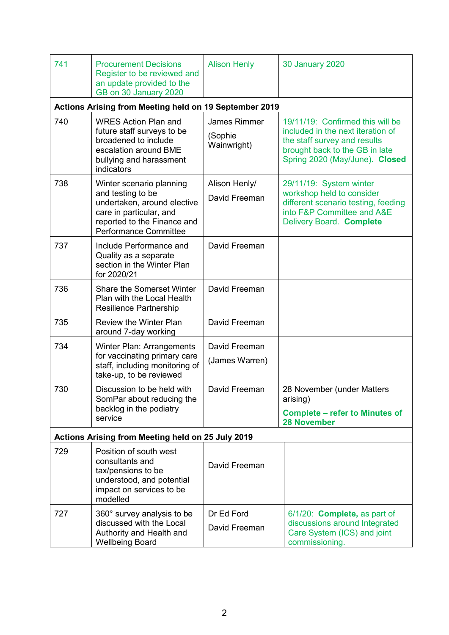| 741                                                                                       | <b>Procurement Decisions</b><br>Register to be reviewed and<br>an update provided to the<br>GB on 30 January 2020                                                      | <b>Alison Henly</b>                           | <b>30 January 2020</b>                                                                                                                                                    |  |
|-------------------------------------------------------------------------------------------|------------------------------------------------------------------------------------------------------------------------------------------------------------------------|-----------------------------------------------|---------------------------------------------------------------------------------------------------------------------------------------------------------------------------|--|
|                                                                                           | Actions Arising from Meeting held on 19 September 2019                                                                                                                 |                                               |                                                                                                                                                                           |  |
| 740                                                                                       | <b>WRES Action Plan and</b><br>future staff surveys to be<br>broadened to include<br>escalation around BME<br>bullying and harassment<br>indicators                    | <b>James Rimmer</b><br>(Sophie<br>Wainwright) | 19/11/19: Confirmed this will be<br>included in the next iteration of<br>the staff survey and results<br>brought back to the GB in late<br>Spring 2020 (May/June). Closed |  |
| 738                                                                                       | Winter scenario planning<br>and testing to be<br>undertaken, around elective<br>care in particular, and<br>reported to the Finance and<br><b>Performance Committee</b> | Alison Henly/<br>David Freeman                | 29/11/19: System winter<br>workshop held to consider<br>different scenario testing, feeding<br>into F&P Committee and A&E<br>Delivery Board. Complete                     |  |
| 737                                                                                       | Include Performance and<br>Quality as a separate<br>section in the Winter Plan<br>for 2020/21                                                                          | David Freeman                                 |                                                                                                                                                                           |  |
| 736                                                                                       | <b>Share the Somerset Winter</b><br>Plan with the Local Health<br>Resilience Partnership                                                                               | David Freeman                                 |                                                                                                                                                                           |  |
| 735                                                                                       | <b>Review the Winter Plan</b><br>around 7-day working                                                                                                                  | David Freeman                                 |                                                                                                                                                                           |  |
| 734                                                                                       | Winter Plan: Arrangements                                                                                                                                              | David Freeman                                 |                                                                                                                                                                           |  |
| for vaccinating primary care<br>staff, including monitoring of<br>take-up, to be reviewed |                                                                                                                                                                        | (James Warren)                                |                                                                                                                                                                           |  |
| 730                                                                                       | Discussion to be held with<br>SomPar about reducing the                                                                                                                | David Freeman                                 | 28 November (under Matters<br>arising)                                                                                                                                    |  |
| backlog in the podiatry<br>service                                                        |                                                                                                                                                                        |                                               | <b>Complete - refer to Minutes of</b><br><b>28 November</b>                                                                                                               |  |
| Actions Arising from Meeting held on 25 July 2019                                         |                                                                                                                                                                        |                                               |                                                                                                                                                                           |  |
| 729                                                                                       | Position of south west<br>consultants and<br>tax/pensions to be<br>understood, and potential<br>impact on services to be<br>modelled                                   | David Freeman                                 |                                                                                                                                                                           |  |
| 727                                                                                       | 360° survey analysis to be<br>discussed with the Local<br>Authority and Health and<br><b>Wellbeing Board</b>                                                           | Dr Ed Ford<br>David Freeman                   | 6/1/20: <b>Complete</b> , as part of<br>discussions around Integrated<br>Care System (ICS) and joint<br>commissioning.                                                    |  |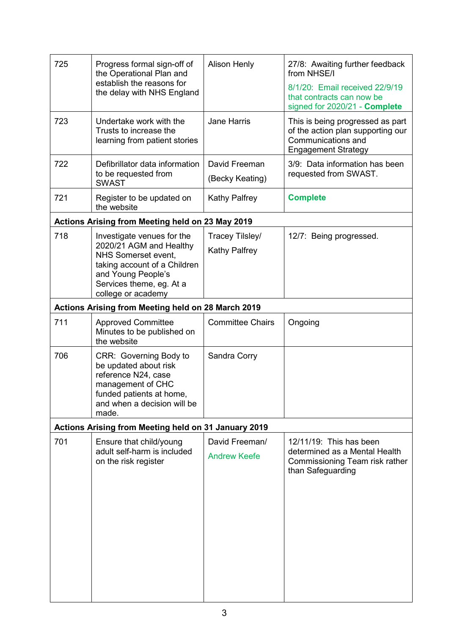| 725<br>Progress formal sign-off of<br>the Operational Plan and<br>establish the reasons for<br>the delay with NHS England |                                                                                                                                                                 | <b>Alison Henly</b>                                        | 27/8: Awaiting further feedback<br>from NHSE/I<br>8/1/20: Email received 22/9/19                                          |
|---------------------------------------------------------------------------------------------------------------------------|-----------------------------------------------------------------------------------------------------------------------------------------------------------------|------------------------------------------------------------|---------------------------------------------------------------------------------------------------------------------------|
|                                                                                                                           |                                                                                                                                                                 | that contracts can now be<br>signed for 2020/21 - Complete |                                                                                                                           |
| 723                                                                                                                       | Undertake work with the<br>Trusts to increase the<br>learning from patient stories                                                                              | <b>Jane Harris</b>                                         | This is being progressed as part<br>of the action plan supporting our<br>Communications and<br><b>Engagement Strategy</b> |
| 722                                                                                                                       | Defibrillator data information<br>to be requested from<br><b>SWAST</b>                                                                                          | David Freeman<br>(Becky Keating)                           | 3/9: Data information has been<br>requested from SWAST.                                                                   |
| 721                                                                                                                       | Register to be updated on<br>the website                                                                                                                        | <b>Kathy Palfrey</b>                                       | <b>Complete</b>                                                                                                           |
|                                                                                                                           | Actions Arising from Meeting held on 23 May 2019                                                                                                                |                                                            |                                                                                                                           |
| 718                                                                                                                       | Investigate venues for the                                                                                                                                      | Tracey Tilsley/                                            | 12/7: Being progressed.                                                                                                   |
|                                                                                                                           | 2020/21 AGM and Healthy<br>NHS Somerset event,                                                                                                                  | <b>Kathy Palfrey</b>                                       |                                                                                                                           |
|                                                                                                                           | taking account of a Children                                                                                                                                    |                                                            |                                                                                                                           |
|                                                                                                                           | and Young People's<br>Services theme, eg. At a                                                                                                                  |                                                            |                                                                                                                           |
|                                                                                                                           | college or academy                                                                                                                                              |                                                            |                                                                                                                           |
|                                                                                                                           | Actions Arising from Meeting held on 28 March 2019                                                                                                              |                                                            |                                                                                                                           |
| 711                                                                                                                       | <b>Approved Committee</b><br>Minutes to be published on<br>the website                                                                                          | <b>Committee Chairs</b>                                    | Ongoing                                                                                                                   |
| 706                                                                                                                       | CRR: Governing Body to<br>be updated about risk<br>reference N24, case<br>management of CHC<br>funded patients at home,<br>and when a decision will be<br>made. | Sandra Corry                                               |                                                                                                                           |
|                                                                                                                           | Actions Arising from Meeting held on 31 January 2019                                                                                                            |                                                            |                                                                                                                           |
| 701                                                                                                                       | Ensure that child/young<br>adult self-harm is included<br>on the risk register                                                                                  | David Freeman/<br><b>Andrew Keefe</b>                      | 12/11/19: This has been<br>determined as a Mental Health<br>Commissioning Team risk rather<br>than Safeguarding           |
|                                                                                                                           |                                                                                                                                                                 |                                                            |                                                                                                                           |
|                                                                                                                           |                                                                                                                                                                 |                                                            |                                                                                                                           |
|                                                                                                                           |                                                                                                                                                                 |                                                            |                                                                                                                           |
|                                                                                                                           |                                                                                                                                                                 |                                                            |                                                                                                                           |
|                                                                                                                           |                                                                                                                                                                 |                                                            |                                                                                                                           |
|                                                                                                                           |                                                                                                                                                                 |                                                            |                                                                                                                           |
|                                                                                                                           |                                                                                                                                                                 |                                                            |                                                                                                                           |